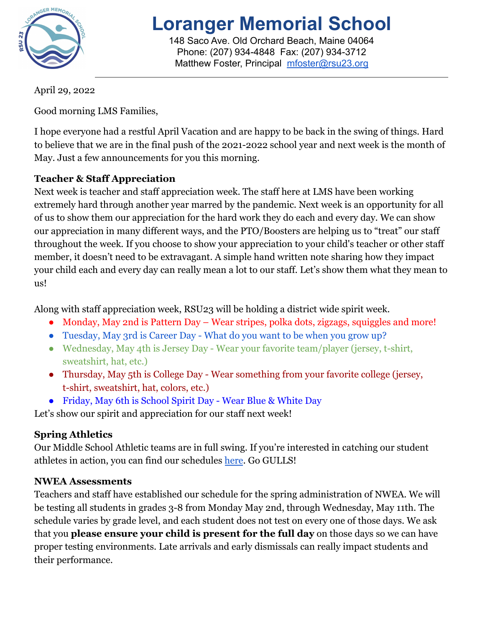

# **Loranger Memorial School**

148 Saco Ave. Old Orchard Beach, Maine 04064 Phone: (207) 934-4848 Fax: (207) 934-3712 Matthew Foster, Principal [mfoster@rsu23.org](mailto:mfoster@rsu23.org)

April 29, 2022

Good morning LMS Families,

I hope everyone had a restful April Vacation and are happy to be back in the swing of things. Hard to believe that we are in the final push of the 2021-2022 school year and next week is the month of May. Just a few announcements for you this morning.

## **Teacher & Staff Appreciation**

Next week is teacher and staff appreciation week. The staff here at LMS have been working extremely hard through another year marred by the pandemic. Next week is an opportunity for all of us to show them our appreciation for the hard work they do each and every day. We can show our appreciation in many different ways, and the PTO/Boosters are helping us to "treat" our staff throughout the week. If you choose to show your appreciation to your child's teacher or other staff member, it doesn't need to be extravagant. A simple hand written note sharing how they impact your child each and every day can really mean a lot to our staff. Let's show them what they mean to us!

Along with staff appreciation week, RSU23 will be holding a district wide spirit week.

- Monday, May 2nd is Pattern Day Wear stripes, polka dots, zigzags, squiggles and more!
- Tuesday, May 3rd is Career Day What do you want to be when you grow up?
- Wednesday, May 4th is Jersey Day Wear your favorite team/player (jersey, t-shirt, sweatshirt, hat, etc.)
- Thursday, May 5th is College Day Wear something from your favorite college (jersey, t-shirt, sweatshirt, hat, colors, etc.)
- Friday, May 6th is School Spirit Day Wear Blue & White Day

Let's show our spirit and appreciation for our staff next week!

# **Spring Athletics**

Our Middle School Athletic teams are in full swing. If you're interested in catching our student athletes in action, you can find our schedules [here](https://loranger.rsu23.org/athletics/schedules/). Go GULLS!

# **NWEA Assessments**

Teachers and staff have established our schedule for the spring administration of NWEA. We will be testing all students in grades 3-8 from Monday May 2nd, through Wednesday, May 11th. The schedule varies by grade level, and each student does not test on every one of those days. We ask that you **please ensure your child is present for the full day** on those days so we can have proper testing environments. Late arrivals and early dismissals can really impact students and their performance.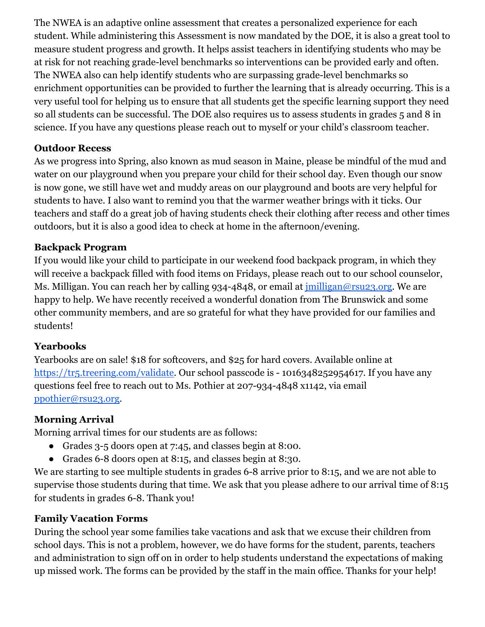The NWEA is an adaptive online assessment that creates a personalized experience for each student. While administering this Assessment is now mandated by the DOE, it is also a great tool to measure student progress and growth. It helps assist teachers in identifying students who may be at risk for not reaching grade-level benchmarks so interventions can be provided early and often. The NWEA also can help identify students who are surpassing grade-level benchmarks so enrichment opportunities can be provided to further the learning that is already occurring. This is a very useful tool for helping us to ensure that all students get the specific learning support they need so all students can be successful. The DOE also requires us to assess students in grades 5 and 8 in science. If you have any questions please reach out to myself or your child's classroom teacher.

#### **Outdoor Recess**

As we progress into Spring, also known as mud season in Maine, please be mindful of the mud and water on our playground when you prepare your child for their school day. Even though our snow is now gone, we still have wet and muddy areas on our playground and boots are very helpful for students to have. I also want to remind you that the warmer weather brings with it ticks. Our teachers and staff do a great job of having students check their clothing after recess and other times outdoors, but it is also a good idea to check at home in the afternoon/evening.

#### **Backpack Program**

If you would like your child to participate in our weekend food backpack program, in which they will receive a backpack filled with food items on Fridays, please reach out to our school counselor, Ms. Milligan. You can reach her by calling 934-4848, or email at [jmilligan@rsu23.org](mailto:jmilligan@rsu23.org). We are happy to help. We have recently received a wonderful donation from The Brunswick and some other community members, and are so grateful for what they have provided for our families and students!

#### **Yearbooks**

Yearbooks are on sale! \$18 for softcovers, and \$25 for hard covers. Available online at [https://tr5.treering.com/validate.](https://tr5.treering.com/validate) Our school passcode is - 1016348252954617. If you have any questions feel free to reach out to Ms. Pothier at 207-934-4848 x1142, via email [ppothier@rsu23.org.](mailto:ppothier@rsu23.org)

#### **Morning Arrival**

Morning arrival times for our students are as follows:

- Grades 3-5 doors open at 7:45, and classes begin at 8:00.
- Grades 6-8 doors open at 8:15, and classes begin at 8:30.

We are starting to see multiple students in grades 6-8 arrive prior to 8:15, and we are not able to supervise those students during that time. We ask that you please adhere to our arrival time of 8:15 for students in grades 6-8. Thank you!

#### **Family Vacation Forms**

During the school year some families take vacations and ask that we excuse their children from school days. This is not a problem, however, we do have forms for the student, parents, teachers and administration to sign off on in order to help students understand the expectations of making up missed work. The forms can be provided by the staff in the main office. Thanks for your help!